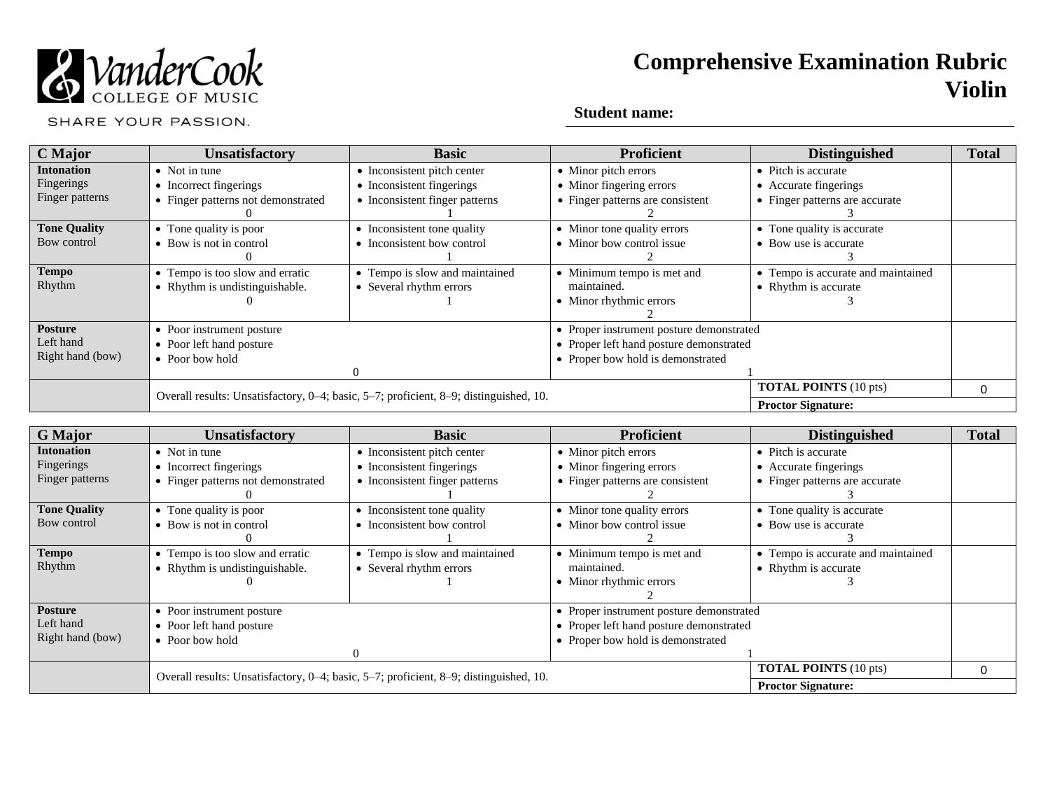

SHARE YOUR PASSION.

| C Major             | <b>Unsatisfactory</b>              | <b>Basic</b>                                                                          | <b>Proficient</b>                        | <b>Distinguished</b>               | <b>Total</b> |
|---------------------|------------------------------------|---------------------------------------------------------------------------------------|------------------------------------------|------------------------------------|--------------|
| <b>Intonation</b>   | $\bullet$ Not in tune              | • Inconsistent pitch center                                                           | • Minor pitch errors                     | • Pitch is accurate                |              |
| Fingerings          | • Incorrect fingerings             | • Inconsistent fingerings                                                             | • Minor fingering errors                 | • Accurate fingerings              |              |
| Finger patterns     | • Finger patterns not demonstrated | • Inconsistent finger patterns                                                        | • Finger patterns are consistent         | • Finger patterns are accurate     |              |
|                     |                                    |                                                                                       |                                          |                                    |              |
| <b>Tone Quality</b> | • Tone quality is poor             | • Inconsistent tone quality                                                           | • Minor tone quality errors              | • Tone quality is accurate         |              |
| Bow control         | • Bow is not in control            | • Inconsistent bow control                                                            | • Minor bow control issue                | • Bow use is accurate              |              |
|                     |                                    |                                                                                       |                                          |                                    |              |
| <b>Tempo</b>        | • Tempo is too slow and erratic    | • Tempo is slow and maintained                                                        | • Minimum tempo is met and               | • Tempo is accurate and maintained |              |
| Rhythm              | • Rhythm is undistinguishable.     | • Several rhythm errors                                                               | maintained.                              | • Rhythm is accurate               |              |
|                     |                                    |                                                                                       | • Minor rhythmic errors                  |                                    |              |
|                     |                                    |                                                                                       |                                          |                                    |              |
| <b>Posture</b>      | • Poor instrument posture          |                                                                                       | • Proper instrument posture demonstrated |                                    |              |
| Left hand           | • Poor left hand posture           |                                                                                       | • Proper left hand posture demonstrated  |                                    |              |
| Right hand (bow)    | $\bullet$ Poor bow hold            |                                                                                       | • Proper bow hold is demonstrated        |                                    |              |
|                     |                                    |                                                                                       |                                          |                                    |              |
|                     |                                    | Overall results: Unsatisfactory, 0-4; basic, 5-7; proficient, 8-9; distinguished, 10. |                                          | <b>TOTAL POINTS</b> (10 pts)       | 0            |
|                     |                                    |                                                                                       |                                          | <b>Proctor Signature:</b>          |              |

| <b>G</b> Major      | <b>Unsatisfactory</b>                                                                 | <b>Basic</b>                   | <b>Proficient</b>                        | <b>Distinguished</b>               | <b>Total</b> |
|---------------------|---------------------------------------------------------------------------------------|--------------------------------|------------------------------------------|------------------------------------|--------------|
| <b>Intonation</b>   | $\bullet$ Not in tune                                                                 | • Inconsistent pitch center    | • Minor pitch errors                     | • Pitch is accurate                |              |
| Fingerings          | • Incorrect fingerings                                                                | • Inconsistent fingerings      | • Minor fingering errors                 | • Accurate fingerings              |              |
| Finger patterns     | • Finger patterns not demonstrated                                                    | • Inconsistent finger patterns | • Finger patterns are consistent         | • Finger patterns are accurate     |              |
|                     |                                                                                       |                                |                                          |                                    |              |
| <b>Tone Quality</b> | • Tone quality is poor                                                                | • Inconsistent tone quality    | • Minor tone quality errors              | • Tone quality is accurate         |              |
| Bow control         | • Bow is not in control                                                               | • Inconsistent bow control     | • Minor how control issue                | • Bow use is accurate              |              |
|                     |                                                                                       |                                |                                          |                                    |              |
| <b>Tempo</b>        | • Tempo is too slow and erratic                                                       | • Tempo is slow and maintained | • Minimum tempo is met and               | • Tempo is accurate and maintained |              |
| Rhythm              | • Rhythm is undistinguishable.                                                        | • Several rhythm errors        | maintained.                              | • Rhythm is accurate               |              |
|                     |                                                                                       |                                | • Minor rhythmic errors                  |                                    |              |
|                     |                                                                                       |                                |                                          |                                    |              |
| <b>Posture</b>      | • Poor instrument posture                                                             |                                | • Proper instrument posture demonstrated |                                    |              |
| Left hand           | • Poor left hand posture                                                              |                                | • Proper left hand posture demonstrated  |                                    |              |
| Right hand (bow)    | $\bullet$ Poor bow hold                                                               |                                | • Proper bow hold is demonstrated        |                                    |              |
|                     |                                                                                       | $\Omega$                       |                                          |                                    |              |
|                     | Overall results: Unsatisfactory, 0–4; basic, 5–7; proficient, 8–9; distinguished, 10. |                                |                                          | <b>TOTAL POINTS</b> (10 pts)       | 0            |
|                     |                                                                                       |                                |                                          | <b>Proctor Signature:</b>          |              |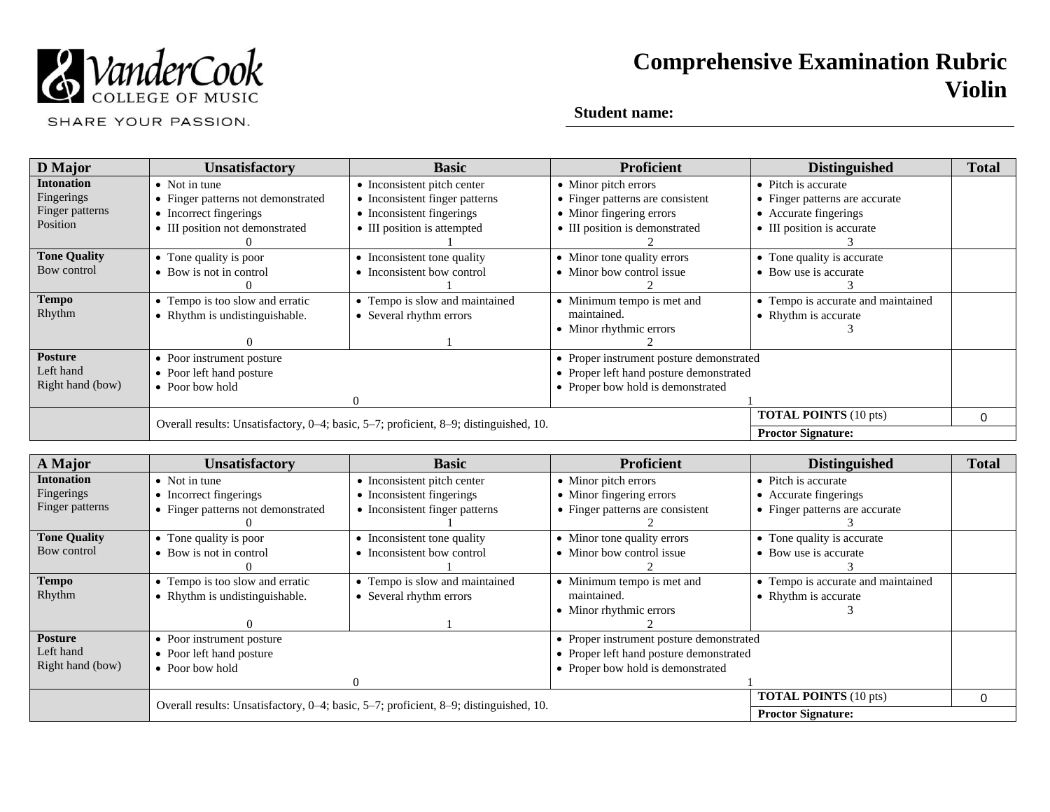

SHARE YOUR PASSION.

| D Major             | <b>Unsatisfactory</b>                                                                 | <b>Basic</b>                   | <b>Proficient</b>                        | <b>Distinguished</b>               | <b>Total</b> |
|---------------------|---------------------------------------------------------------------------------------|--------------------------------|------------------------------------------|------------------------------------|--------------|
| <b>Intonation</b>   | $\bullet$ Not in tune                                                                 | • Inconsistent pitch center    | • Minor pitch errors                     | • Pitch is accurate                |              |
| Fingerings          | • Finger patterns not demonstrated                                                    | • Inconsistent finger patterns | • Finger patterns are consistent         | • Finger patterns are accurate     |              |
| Finger patterns     | • Incorrect fingerings                                                                | • Inconsistent fingerings      | • Minor fingering errors                 | • Accurate fingerings              |              |
| Position            | • III position not demonstrated                                                       | • III position is attempted    | • III position is demonstrated           | • III position is accurate         |              |
|                     |                                                                                       |                                |                                          |                                    |              |
| <b>Tone Quality</b> | • Tone quality is poor                                                                | • Inconsistent tone quality    | • Minor tone quality errors              | • Tone quality is accurate         |              |
| Bow control         | • Bow is not in control                                                               | • Inconsistent bow control     | • Minor bow control issue                | • Bow use is accurate              |              |
|                     |                                                                                       |                                |                                          |                                    |              |
| <b>Tempo</b>        | • Tempo is too slow and erratic                                                       | • Tempo is slow and maintained | • Minimum tempo is met and               | • Tempo is accurate and maintained |              |
| Rhythm              | • Rhythm is undistinguishable.                                                        | • Several rhythm errors        | maintained.                              | • Rhythm is accurate               |              |
|                     |                                                                                       |                                | • Minor rhythmic errors                  |                                    |              |
|                     |                                                                                       |                                |                                          |                                    |              |
| <b>Posture</b>      | • Poor instrument posture                                                             |                                | • Proper instrument posture demonstrated |                                    |              |
| Left hand           | • Poor left hand posture                                                              |                                | • Proper left hand posture demonstrated  |                                    |              |
| Right hand (bow)    | • Poor bow hold                                                                       |                                | • Proper bow hold is demonstrated        |                                    |              |
|                     |                                                                                       | ∩                              |                                          |                                    |              |
|                     |                                                                                       |                                |                                          | <b>TOTAL POINTS</b> (10 pts)       | $\Omega$     |
|                     | Overall results: Unsatisfactory, 0-4; basic, 5-7; proficient, 8-9; distinguished, 10. |                                |                                          | <b>Proctor Signature:</b>          |              |

| A Major             | <b>Unsatisfactory</b>                                                                 | <b>Basic</b>                   | <b>Proficient</b>                        | <b>Distinguished</b>               | <b>Total</b> |
|---------------------|---------------------------------------------------------------------------------------|--------------------------------|------------------------------------------|------------------------------------|--------------|
| <b>Intonation</b>   | $\bullet$ Not in tune                                                                 | • Inconsistent pitch center    | • Minor pitch errors                     | • Pitch is accurate                |              |
| Fingerings          | • Incorrect fingerings                                                                | • Inconsistent fingerings      | • Minor fingering errors                 | • Accurate fingerings              |              |
| Finger patterns     | • Finger patterns not demonstrated                                                    | • Inconsistent finger patterns | • Finger patterns are consistent         | • Finger patterns are accurate     |              |
|                     |                                                                                       |                                |                                          |                                    |              |
| <b>Tone Quality</b> | • Tone quality is poor                                                                | • Inconsistent tone quality    | • Minor tone quality errors              | • Tone quality is accurate         |              |
| Bow control         | • Bow is not in control                                                               | • Inconsistent bow control     | • Minor bow control issue                | • Bow use is accurate              |              |
|                     |                                                                                       |                                |                                          |                                    |              |
| <b>Tempo</b>        | • Tempo is too slow and erratic                                                       | • Tempo is slow and maintained | • Minimum tempo is met and               | • Tempo is accurate and maintained |              |
| Rhythm              | • Rhythm is undistinguishable.                                                        | • Several rhythm errors        | maintained.                              | • Rhythm is accurate               |              |
|                     |                                                                                       |                                | • Minor rhythmic errors                  |                                    |              |
|                     |                                                                                       |                                |                                          |                                    |              |
| <b>Posture</b>      | • Poor instrument posture                                                             |                                | • Proper instrument posture demonstrated |                                    |              |
| Left hand           | • Poor left hand posture                                                              |                                | • Proper left hand posture demonstrated  |                                    |              |
| Right hand (bow)    | $\bullet$ Poor bow hold                                                               |                                | • Proper bow hold is demonstrated        |                                    |              |
|                     |                                                                                       |                                |                                          |                                    |              |
|                     | Overall results: Unsatisfactory, 0-4; basic, 5-7; proficient, 8-9; distinguished, 10. |                                |                                          | <b>TOTAL POINTS</b> (10 pts)       | 0            |
|                     |                                                                                       |                                |                                          | <b>Proctor Signature:</b>          |              |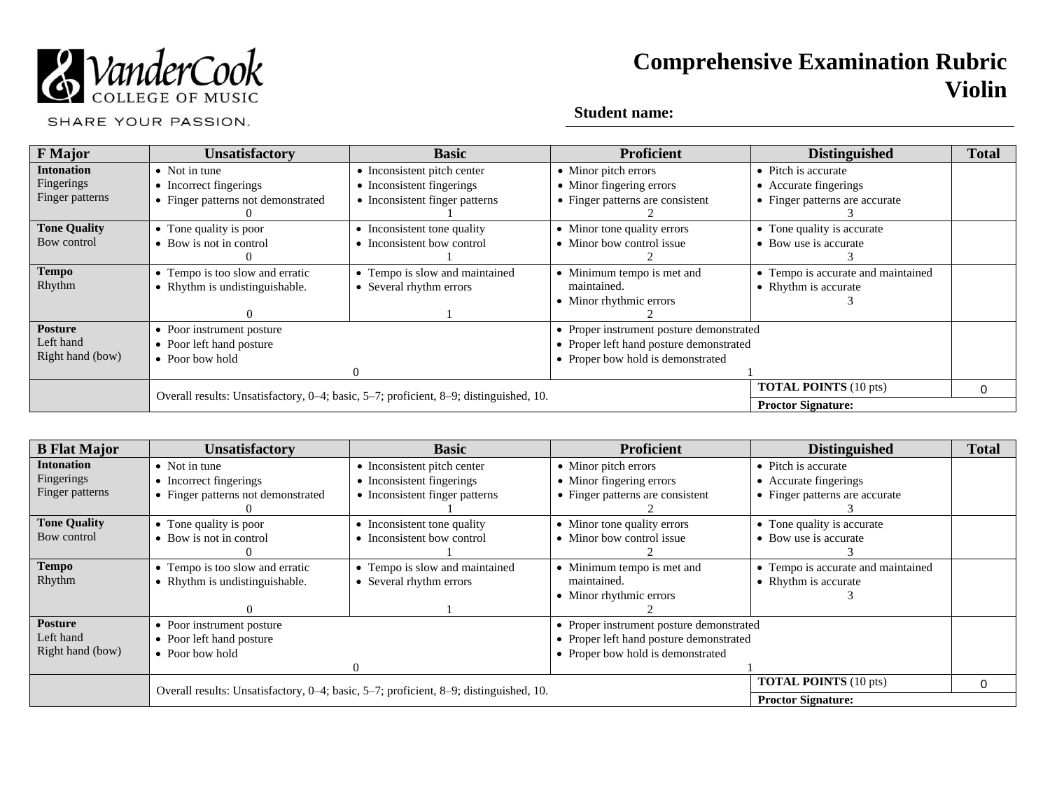

SHARE YOUR PASSION.

| <b>F</b> Major      | <b>Unsatisfactory</b>                                                                 | <b>Basic</b>                   | <b>Proficient</b>                        | <b>Distinguished</b>               | <b>Total</b> |
|---------------------|---------------------------------------------------------------------------------------|--------------------------------|------------------------------------------|------------------------------------|--------------|
| <b>Intonation</b>   | $\bullet$ Not in tune                                                                 | • Inconsistent pitch center    | • Minor pitch errors                     | • Pitch is accurate                |              |
| Fingerings          | • Incorrect fingerings                                                                | • Inconsistent fingerings      | • Minor fingering errors                 | • Accurate fingerings              |              |
| Finger patterns     | • Finger patterns not demonstrated                                                    | • Inconsistent finger patterns | • Finger patterns are consistent         | • Finger patterns are accurate     |              |
|                     |                                                                                       |                                |                                          |                                    |              |
| <b>Tone Quality</b> | • Tone quality is poor                                                                | • Inconsistent tone quality    | • Minor tone quality errors              | • Tone quality is accurate         |              |
| Bow control         | • Bow is not in control                                                               | • Inconsistent bow control     | • Minor bow control issue                | • Bow use is accurate              |              |
|                     |                                                                                       |                                |                                          |                                    |              |
| <b>Tempo</b>        | • Tempo is too slow and erratic                                                       | • Tempo is slow and maintained | • Minimum tempo is met and               | • Tempo is accurate and maintained |              |
| Rhythm              | • Rhythm is undistinguishable.                                                        | • Several rhythm errors        | maintained.                              | • Rhythm is accurate               |              |
|                     |                                                                                       |                                | • Minor rhythmic errors                  |                                    |              |
|                     |                                                                                       |                                |                                          |                                    |              |
| <b>Posture</b>      | • Poor instrument posture                                                             |                                | • Proper instrument posture demonstrated |                                    |              |
| Left hand           | • Poor left hand posture                                                              |                                | • Proper left hand posture demonstrated  |                                    |              |
| Right hand (bow)    | $\bullet$ Poor bow hold                                                               |                                | • Proper bow hold is demonstrated        |                                    |              |
|                     |                                                                                       | -0                             |                                          |                                    |              |
|                     | Overall results: Unsatisfactory, 0-4; basic, 5-7; proficient, 8-9; distinguished, 10. |                                | <b>TOTAL POINTS</b> (10 pts)             | 0                                  |              |
|                     |                                                                                       |                                |                                          | <b>Proctor Signature:</b>          |              |

| <b>B</b> Flat Major | Unsatisfactory                                                                        | <b>Basic</b>                   | <b>Proficient</b>                        | <b>Distinguished</b>               | <b>Total</b> |
|---------------------|---------------------------------------------------------------------------------------|--------------------------------|------------------------------------------|------------------------------------|--------------|
| <b>Intonation</b>   | $\bullet$ Not in tune                                                                 | • Inconsistent pitch center    | • Minor pitch errors                     | • Pitch is accurate                |              |
| Fingerings          | • Incorrect fingerings                                                                | • Inconsistent fingerings      | • Minor fingering errors                 | • Accurate fingerings              |              |
| Finger patterns     | • Finger patterns not demonstrated                                                    | • Inconsistent finger patterns | • Finger patterns are consistent         | • Finger patterns are accurate     |              |
|                     |                                                                                       |                                |                                          |                                    |              |
| <b>Tone Quality</b> | • Tone quality is poor                                                                | • Inconsistent tone quality    | • Minor tone quality errors              | • Tone quality is accurate         |              |
| Bow control         | • Bow is not in control                                                               | • Inconsistent bow control     | • Minor bow control issue                | • Bow use is accurate              |              |
|                     |                                                                                       |                                |                                          |                                    |              |
| <b>Tempo</b>        | • Tempo is too slow and erratic                                                       | • Tempo is slow and maintained | • Minimum tempo is met and               | • Tempo is accurate and maintained |              |
| Rhythm              | • Rhythm is undistinguishable.                                                        | • Several rhythm errors        | maintained.                              | • Rhythm is accurate               |              |
|                     |                                                                                       |                                | • Minor rhythmic errors                  |                                    |              |
|                     |                                                                                       |                                |                                          |                                    |              |
| <b>Posture</b>      | • Poor instrument posture                                                             |                                | • Proper instrument posture demonstrated |                                    |              |
| Left hand           | • Poor left hand posture                                                              |                                | • Proper left hand posture demonstrated  |                                    |              |
| Right hand (bow)    | • Poor bow hold                                                                       |                                | • Proper bow hold is demonstrated        |                                    |              |
|                     |                                                                                       |                                |                                          |                                    |              |
|                     | Overall results: Unsatisfactory, 0–4; basic, 5–7; proficient, 8–9; distinguished, 10. |                                |                                          | <b>TOTAL POINTS</b> (10 pts)       | 0            |
|                     |                                                                                       |                                |                                          | <b>Proctor Signature:</b>          |              |